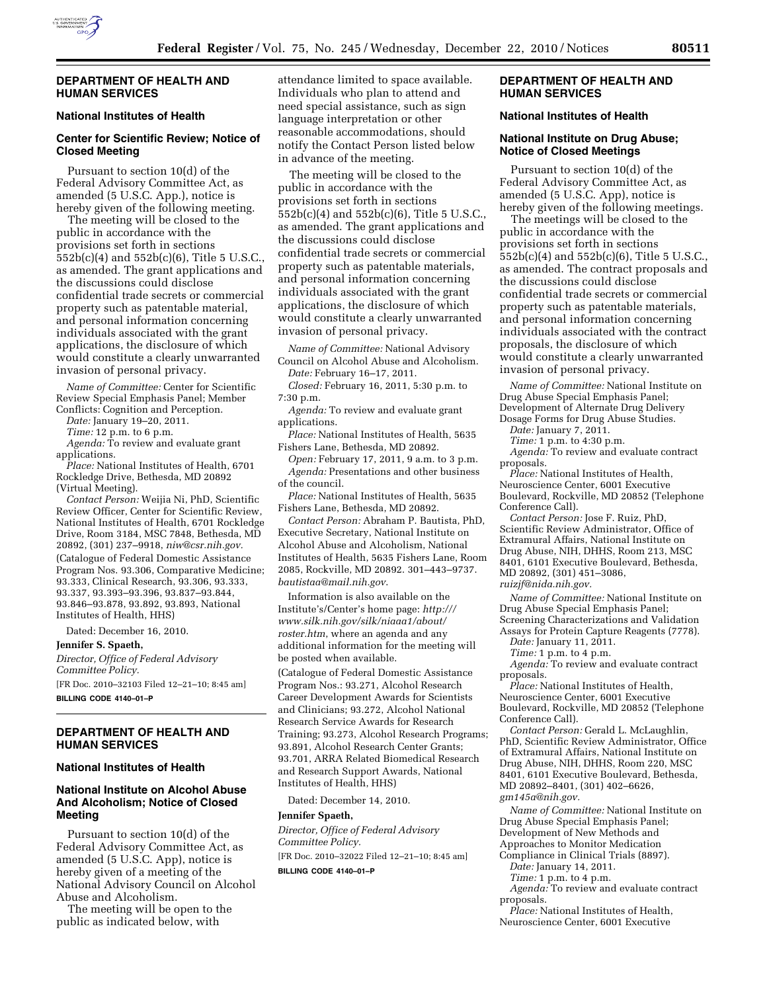

#### **DEPARTMENT OF HEALTH AND HUMAN SERVICES**

# **National Institutes of Health**

# **Center for Scientific Review; Notice of Closed Meeting**

Pursuant to section 10(d) of the Federal Advisory Committee Act, as amended (5 U.S.C. App.), notice is hereby given of the following meeting.

The meeting will be closed to the public in accordance with the provisions set forth in sections 552b(c)(4) and 552b(c)(6), Title 5 U.S.C., as amended. The grant applications and the discussions could disclose confidential trade secrets or commercial property such as patentable material, and personal information concerning individuals associated with the grant applications, the disclosure of which would constitute a clearly unwarranted invasion of personal privacy.

*Name of Committee:* Center for Scientific Review Special Emphasis Panel; Member Conflicts: Cognition and Perception.

*Date:* January 19–20, 2011.

*Time:* 12 p.m. to 6 p.m.

*Agenda:* To review and evaluate grant applications.

*Place:* National Institutes of Health, 6701 Rockledge Drive, Bethesda, MD 20892 (Virtual Meeting).

*Contact Person:* Weijia Ni, PhD, Scientific Review Officer, Center for Scientific Review, National Institutes of Health, 6701 Rockledge Drive, Room 3184, MSC 7848, Bethesda, MD 20892, (301) 237–9918, *[niw@csr.nih.gov.](mailto:niw@csr.nih.gov)*  (Catalogue of Federal Domestic Assistance Program Nos. 93.306, Comparative Medicine; 93.333, Clinical Research, 93.306, 93.333, 93.337, 93.393–93.396, 93.837–93.844, 93.846–93.878, 93.892, 93.893, National Institutes of Health, HHS)

Dated: December 16, 2010.

**Jennifer S. Spaeth,** 

*Director, Office of Federal Advisory Committee Policy.* 

[FR Doc. 2010–32103 Filed 12–21–10; 8:45 am] **BILLING CODE 4140–01–P** 

# **DEPARTMENT OF HEALTH AND HUMAN SERVICES**

#### **National Institutes of Health**

# **National Institute on Alcohol Abuse And Alcoholism; Notice of Closed Meeting**

Pursuant to section 10(d) of the Federal Advisory Committee Act, as amended (5 U.S.C. App), notice is hereby given of a meeting of the National Advisory Council on Alcohol Abuse and Alcoholism.

The meeting will be open to the public as indicated below, with

attendance limited to space available. Individuals who plan to attend and need special assistance, such as sign language interpretation or other reasonable accommodations, should notify the Contact Person listed below in advance of the meeting.

The meeting will be closed to the public in accordance with the provisions set forth in sections 552b(c)(4) and 552b(c)(6), Title 5 U.S.C., as amended. The grant applications and the discussions could disclose confidential trade secrets or commercial property such as patentable materials, and personal information concerning individuals associated with the grant applications, the disclosure of which would constitute a clearly unwarranted invasion of personal privacy.

*Name of Committee:* National Advisory Council on Alcohol Abuse and Alcoholism.

*Date:* February 16–17, 2011. *Closed:* February 16, 2011, 5:30 p.m. to 7:30 p.m.

*Agenda:* To review and evaluate grant applications.

*Place:* National Institutes of Health, 5635 Fishers Lane, Bethesda, MD 20892.

*Open:* February 17, 2011, 9 a.m. to 3 p.m. *Agenda:* Presentations and other business of the council.

*Place:* National Institutes of Health, 5635 Fishers Lane, Bethesda, MD 20892.

*Contact Person:* Abraham P. Bautista, PhD, Executive Secretary, National Institute on Alcohol Abuse and Alcoholism, National Institutes of Health, 5635 Fishers Lane, Room 2085, Rockville, MD 20892. 301–443–9737. *[bautistaa@mail.nih.gov](mailto:bautistaa@mail.nih.gov)*.

Information is also available on the Institute's/Center's home page: *[http:///](http:///www.silk.nih.gov/silk/niaaa1/about/roster.htm) [www.silk.nih.gov/silk/niaaa1/about/](http:///www.silk.nih.gov/silk/niaaa1/about/roster.htm) [roster.htm](http:///www.silk.nih.gov/silk/niaaa1/about/roster.htm)*, where an agenda and any additional information for the meeting will be posted when available.

(Catalogue of Federal Domestic Assistance Program Nos.: 93.271, Alcohol Research Career Development Awards for Scientists and Clinicians; 93.272, Alcohol National Research Service Awards for Research Training; 93.273, Alcohol Research Programs; 93.891, Alcohol Research Center Grants; 93.701, ARRA Related Biomedical Research and Research Support Awards, National Institutes of Health, HHS)

Dated: December 14, 2010.

#### **Jennifer Spaeth,**

*Director, Office of Federal Advisory Committee Policy.* 

[FR Doc. 2010–32022 Filed 12–21–10; 8:45 am] **BILLING CODE 4140–01–P** 

### **DEPARTMENT OF HEALTH AND HUMAN SERVICES**

### **National Institutes of Health**

### **National Institute on Drug Abuse; Notice of Closed Meetings**

Pursuant to section 10(d) of the Federal Advisory Committee Act, as amended (5 U.S.C. App), notice is hereby given of the following meetings.

The meetings will be closed to the public in accordance with the provisions set forth in sections 552b(c)(4) and 552b(c)(6), Title 5 U.S.C., as amended. The contract proposals and the discussions could disclose confidential trade secrets or commercial property such as patentable materials, and personal information concerning individuals associated with the contract proposals, the disclosure of which would constitute a clearly unwarranted invasion of personal privacy.

*Name of Committee:* National Institute on Drug Abuse Special Emphasis Panel; Development of Alternate Drug Delivery Dosage Forms for Drug Abuse Studies.

*Date:* January 7, 2011.

*Time:* 1 p.m. to 4:30 p.m.

*Agenda:* To review and evaluate contract proposals.

*Place:* National Institutes of Health, Neuroscience Center, 6001 Executive Boulevard, Rockville, MD 20852 (Telephone Conference Call).

*Contact Person:* Jose F. Ruiz, PhD, Scientific Review Administrator, Office of Extramural Affairs, National Institute on Drug Abuse, NIH, DHHS, Room 213, MSC 8401, 6101 Executive Boulevard, Bethesda, MD 20892, (301) 451–3086, *[ruizjf@nida.nih.gov.](mailto:ruizjf@nida.nih.gov)* 

*Name of Committee:* National Institute on Drug Abuse Special Emphasis Panel; Screening Characterizations and Validation

Assays for Protein Capture Reagents (7778). *Date:* January 11, 2011.

*Time:* 1 p.m. to 4 p.m.

*Agenda:* To review and evaluate contract proposals.

*Place:* National Institutes of Health, Neuroscience Center, 6001 Executive Boulevard, Rockville, MD 20852 (Telephone Conference Call).

*Contact Person:* Gerald L. McLaughlin, PhD, Scientific Review Administrator, Office of Extramural Affairs, National Institute on Drug Abuse, NIH, DHHS, Room 220, MSC 8401, 6101 Executive Boulevard, Bethesda, MD 20892–8401, (301) 402–6626, *[gm145a@nih.gov.](mailto:gm145a@nih.gov)* 

*Name of Committee:* National Institute on Drug Abuse Special Emphasis Panel; Development of New Methods and Approaches to Monitor Medication Compliance in Clinical Trials (8897).

*Date:* January 14, 2011.

*Time:* 1 p.m. to 4 p.m.

*Agenda:* To review and evaluate contract proposals.

*Place:* National Institutes of Health, Neuroscience Center, 6001 Executive